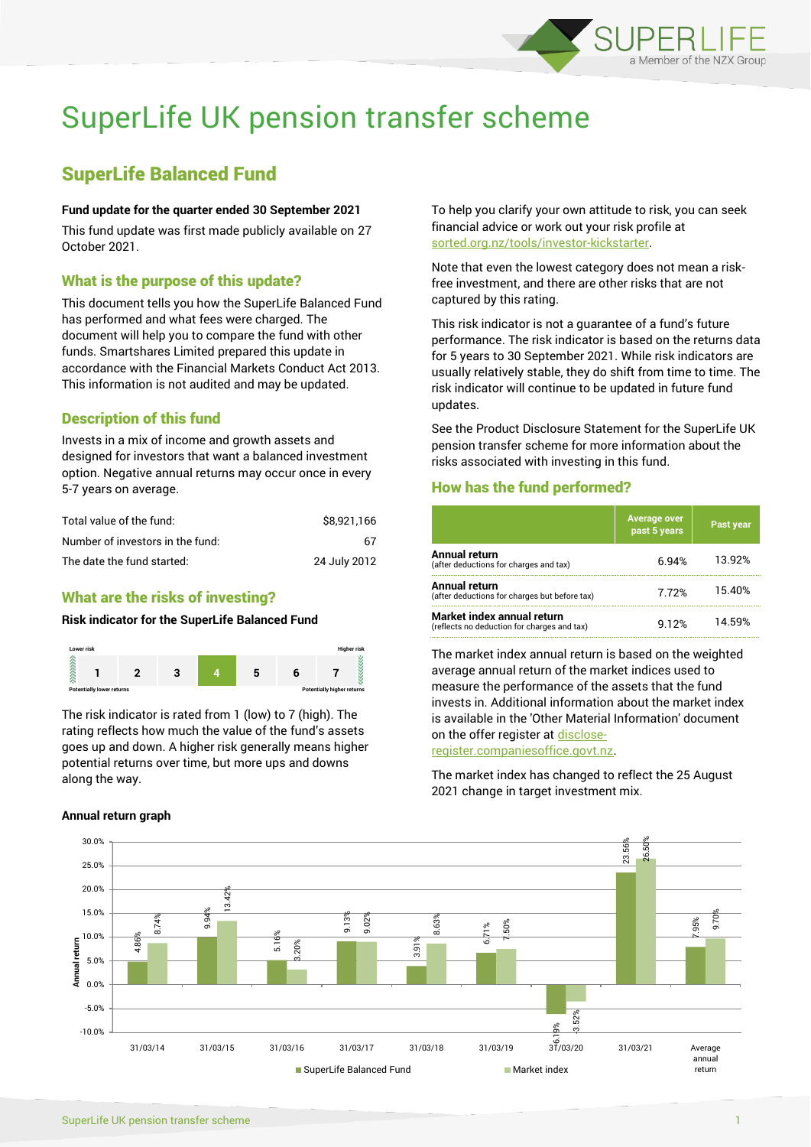

# SuperLife UK pension transfer scheme

## SuperLife Balanced Fund

#### **Fund update for the quarter ended 30 September 2021**

This fund update was first made publicly available on 27 October 2021.

### What is the purpose of this update?

This document tells you how the SuperLife Balanced Fund has performed and what fees were charged. The document will help you to compare the fund with other funds. Smartshares Limited prepared this update in accordance with the Financial Markets Conduct Act 2013. This information is not audited and may be updated.

## Description of this fund

Invests in a mix of income and growth assets and designed for investors that want a balanced investment option. Negative annual returns may occur once in every 5-7 years on average.

| Total value of the fund:         | \$8.921.166  |
|----------------------------------|--------------|
| Number of investors in the fund: | 67           |
| The date the fund started:       | 24 July 2012 |

## What are the risks of investing?

### **Risk indicator for the SuperLife Balanced Fund**



The risk indicator is rated from 1 (low) to 7 (high). The rating reflects how much the value of the fund's assets goes up and down. A higher risk generally means higher potential returns over time, but more ups and downs along the way.

**Annual return graph**

To help you clarify your own attitude to risk, you can seek financial advice or work out your risk profile at [sorted.org.nz/tools/investor-kickstarter.](http://www.sorted.org.nz/tools/investor-kickstarter)

Note that even the lowest category does not mean a riskfree investment, and there are other risks that are not captured by this rating.

This risk indicator is not a guarantee of a fund's future performance. The risk indicator is based on the returns data for 5 years to 30 September 2021. While risk indicators are usually relatively stable, they do shift from time to time. The risk indicator will continue to be updated in future fund updates.

See the Product Disclosure Statement for the SuperLife UK pension transfer scheme for more information about the risks associated with investing in this fund.

#### How has the fund performed?

|                                                                           | <b>Average over</b><br>past 5 years | 'Past year |
|---------------------------------------------------------------------------|-------------------------------------|------------|
| Annual return<br>(after deductions for charges and tax)                   | 6.94%                               | 13.92%     |
| Annual return<br>(after deductions for charges but before tax)            | 7.72%                               | 15.40%     |
| Market index annual return<br>(reflects no deduction for charges and tax) | 9.12%                               | 14.59%     |

The market index annual return is based on the weighted average annual return of the market indices used to measure the performance of the assets that the fund invests in. Additional information about the market index is available in the 'Other Material Information' document on the offer register a[t disclose-](http://www.disclose-register.companiesoffice.govt.nz/)

[register.companiesoffice.govt.nz.](http://www.disclose-register.companiesoffice.govt.nz/)

The market index has changed to reflect the 25 August 2021 change in target investment mix.

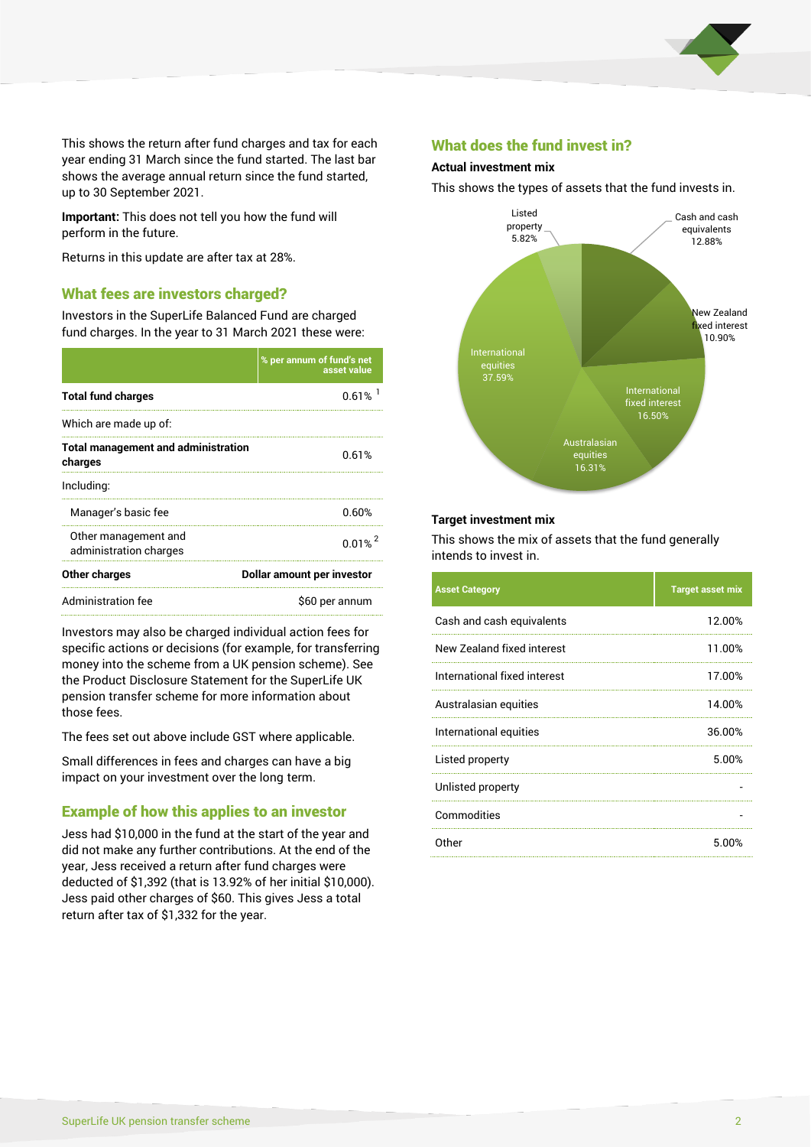

This shows the return after fund charges and tax for each year ending 31 March since the fund started. The last bar shows the average annual return since the fund started, up to 30 September 2021.

**Important:** This does not tell you how the fund will perform in the future.

Returns in this update are after tax at 28%.

#### What fees are investors charged?

Investors in the SuperLife Balanced Fund are charged fund charges. In the year to 31 March 2021 these were:

| % per annum of fund's net<br>asset value |  |
|------------------------------------------|--|
| 0.61%                                    |  |
|                                          |  |
| 0.61%                                    |  |
|                                          |  |
| 0.60%                                    |  |
| $0.01\%$ <sup>2</sup>                    |  |
| Dollar amount per investor               |  |
| \$60 per annum                           |  |
|                                          |  |

Investors may also be charged individual action fees for specific actions or decisions (for example, for transferring money into the scheme from a UK pension scheme). See the Product Disclosure Statement for the SuperLife UK pension transfer scheme for more information about those fees.

The fees set out above include GST where applicable.

Small differences in fees and charges can have a big impact on your investment over the long term.

## Example of how this applies to an investor

Jess had \$10,000 in the fund at the start of the year and did not make any further contributions. At the end of the year, Jess received a return after fund charges were deducted of \$1,392 (that is 13.92% of her initial \$10,000). Jess paid other charges of \$60. This gives Jess a total return after tax of \$1,332 for the year.

#### What does the fund invest in?

#### **Actual investment mix**

This shows the types of assets that the fund invests in.



#### **Target investment mix**

This shows the mix of assets that the fund generally intends to invest in.

| <b>Asset Category</b>        | <b>Target asset mix</b> |
|------------------------------|-------------------------|
| Cash and cash equivalents    | 12.00%                  |
| New Zealand fixed interest   | 11.00%                  |
| International fixed interest | 17.00%                  |
| Australasian equities        | 14.00%                  |
| International equities       | 36.00%                  |
| Listed property              | 5.00%                   |
| Unlisted property            |                         |
| Commodities                  |                         |
| Other                        | 5.00%                   |